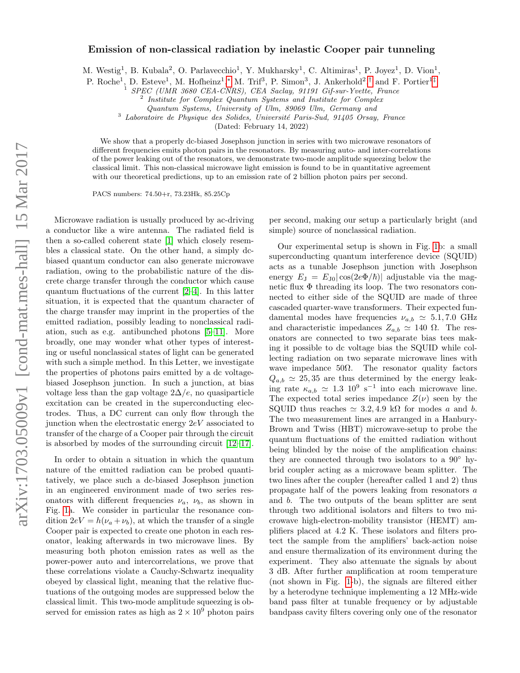## Emission of non-classical radiation by inelastic Cooper pair tunneling

M. Westig<sup>1</sup>, B. Kubala<sup>2</sup>, O. Parlavecchio<sup>1</sup>, Y. Mukharsky<sup>1</sup>, C. Altimiras<sup>1</sup>, P. Joyez<sup>1</sup>, D. Vion<sup>1</sup>,

P. Roche<sup>1</sup>, D. Esteve<sup>1</sup>, M. Hofheinz<sup>1</sup>,\* M. Trif<sup>3</sup>, P. Simon<sup>3</sup>, J. Ankerhold<sup>2</sup>,<sup>[†](#page-4-1)</sup> and F. Portier<sup>1[‡](#page-4-2)</sup>

<sup>1</sup> SPEC (UMR 3680 CEA-CNRS), CEA Saclay, 91191 Gif-sur-Yvette, France

<sup>2</sup> Institute for Complex Quantum Systems and Institute for Complex

Quantum Systems, University of Ulm, 89069 Ulm, Germany and

 $3$  Laboratoire de Physique des Solides, Université Paris-Sud, 91405 Orsay, France

(Dated: February 14, 2022)

We show that a properly dc-biased Josephson junction in series with two microwave resonators of different frequencies emits photon pairs in the resonators. By measuring auto- and inter-correlations of the power leaking out of the resonators, we demonstrate two-mode amplitude squeezing below the classical limit. This non-classical microwave light emission is found to be in quantitative agreement with our theoretical predictions, up to an emission rate of 2 billion photon pairs per second.

PACS numbers: 74.50+r, 73.23Hk, 85.25Cp

Microwave radiation is usually produced by ac-driving a conductor like a wire antenna. The radiated field is then a so-called coherent state [\[1\]](#page-4-3) which closely resembles a classical state. On the other hand, a simply dcbiased quantum conductor can also generate microwave radiation, owing to the probabilistic nature of the discrete charge transfer through the conductor which cause quantum fluctuations of the current [\[2](#page-4-4)[–4\]](#page-4-5). In this latter situation, it is expected that the quantum character of the charge transfer may imprint in the properties of the emitted radiation, possibly leading to nonclassical radiation, such as e.g. antibunched photons [\[5–](#page-4-6)[11\]](#page-4-7). More broadly, one may wonder what other types of interesting or useful nonclassical states of light can be generated with such a simple method. In this Letter, we investigate the properties of photons pairs emitted by a dc voltagebiased Josephson junction. In such a junction, at bias voltage less than the gap voltage  $2\Delta/e$ , no quasiparticle excitation can be created in the superconducting electrodes. Thus, a DC current can only flow through the junction when the electrostatic energy 2eV associated to transfer of the charge of a Cooper pair through the circuit is absorbed by modes of the surrounding circuit [\[12–](#page-4-8)[17\]](#page-4-9).

In order to obtain a situation in which the quantum nature of the emitted radiation can be probed quantitatively, we place such a dc-biased Josephson junction in an engineered environment made of two series resonators with different frequencies  $\nu_a$ ,  $\nu_b$ , as shown in Fig. [1a](#page-1-0). We consider in particular the resonance condition  $2eV = h(\nu_a + \nu_b)$ , at which the transfer of a single Cooper pair is expected to create one photon in each resonator, leaking afterwards in two microwave lines. By measuring both photon emission rates as well as the power-power auto and intercorrelations, we prove that these correlations violate a Cauchy-Schwartz inequality obeyed by classical light, meaning that the relative fluctuations of the outgoing modes are suppressed below the classical limit. This two-mode amplitude squeezing is observed for emission rates as high as  $2 \times 10^9$  photon pairs per second, making our setup a particularly bright (and simple) source of nonclassical radiation.

Our experimental setup is shown in Fig. [1b](#page-1-0): a small superconducting quantum interference device (SQUID) acts as a tunable Josephson junction with Josephson energy  $E_J = E_{J0} |\cos(2e\Phi/\hbar)|$  adjustable via the magnetic flux  $\Phi$  threading its loop. The two resonators connected to either side of the SQUID are made of three cascaded quarter-wave transformers. Their expected fundamental modes have frequencies  $\nu_{a,b} \simeq 5.1, 7.0 \text{ GHz}$ and characteristic impedances  $Z_{a,b} \simeq 140 \Omega$ . The resonators are connected to two separate bias tees making it possible to dc voltage bias the SQUID while collecting radiation on two separate microwave lines with wave impedance  $50\Omega$ . The resonator quality factors  $Q_{a,b} \simeq 25,35$  are thus determined by the energy leaking rate  $\kappa_{a,b} \simeq 1.3 \; 10^9 \; \text{s}^{-1}$  into each microwave line. The expected total series impedance  $Z(\nu)$  seen by the SQUID thus reaches  $\simeq 3.2, 4.9$  kΩ for modes a and b. The two measurement lines are arranged in a Hanbury-Brown and Twiss (HBT) microwave-setup to probe the quantum fluctuations of the emitted radiation without being blinded by the noise of the amplification chains: they are connected through two isolators to a  $90°$  hybrid coupler acting as a microwave beam splitter. The two lines after the coupler (hereafter called 1 and 2) thus propagate half of the powers leaking from resonators a and b. The two outputs of the beam splitter are sent through two additional isolators and filters to two microwave high-electron-mobility transistor (HEMT) amplifiers placed at 4.2 K. These isolators and filters protect the sample from the amplifiers' back-action noise and ensure thermalization of its environment during the experiment. They also attenuate the signals by about 3 dB. After further amplification at room temperature (not shown in Fig. [1-](#page-1-0)b), the signals are filtered either by a heterodyne technique implementing a 12 MHz-wide band pass filter at tunable frequency or by adjustable bandpass cavity filters covering only one of the resonator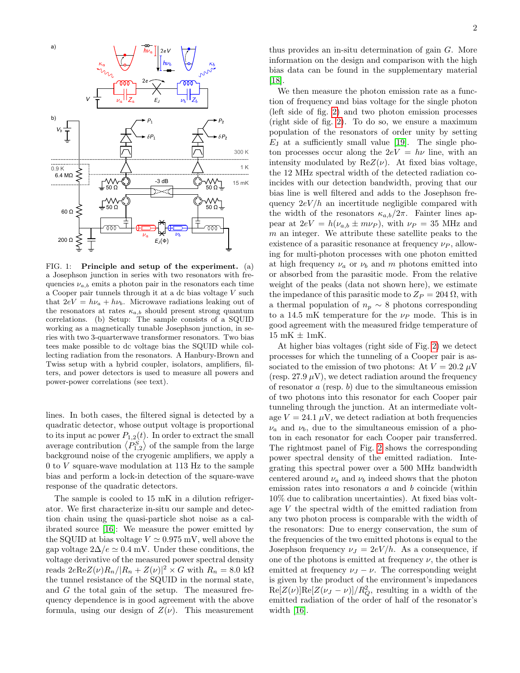

<span id="page-1-0"></span>FIG. 1: Principle and setup of the experiment. (a) a Josephson junction in series with two resonators with frequencies  $\nu_{a,b}$  emits a photon pair in the resonators each time a Cooper pair tunnels through it at a dc bias voltage V such that  $2eV = h\nu_a + h\nu_b$ . Microwave radiations leaking out of the resonators at rates  $\kappa_{a,b}$  should present strong quantum correlations. (b) Setup: The sample consists of a SQUID working as a magnetically tunable Josephson junction, in series with two 3-quarterwave transformer resonators. Two bias tees make possible to dc voltage bias the SQUID while collecting radiation from the resonators. A Hanbury-Brown and Twiss setup with a hybrid coupler, isolators, amplifiers, filters, and power detectors is used to measure all powers and power-power correlations (see text).

lines. In both cases, the filtered signal is detected by a quadratic detector, whose output voltage is proportional to its input ac power  $P_{1,2}(t)$ . In order to extract the small average contribution  $\langle P_{1,2}^S \rangle$  of the sample from the large background noise of the cryogenic amplifiers, we apply a 0 to V square-wave modulation at 113 Hz to the sample bias and perform a lock-in detection of the square-wave response of the quadratic detectors.

The sample is cooled to 15 mK in a dilution refrigerator. We first characterize in-situ our sample and detection chain using the quasi-particle shot noise as a calibrated source [\[16\]](#page-4-10): We measure the power emitted by the SQUID at bias voltage  $V \approx 0.975$  mV, well above the gap voltage  $2\Delta/e \simeq 0.4$  mV. Under these conditions, the voltage derivative of the measured power spectral density reads  $2eReZ(\nu)R_n/|R_n + Z(\nu)|^2 \times G$  with  $R_n = 8.0 \text{ k}\Omega$ the tunnel resistance of the SQUID in the normal state, and G the total gain of the setup. The measured frequency dependence is in good agreement with the above formula, using our design of  $Z(\nu)$ . This measurement

thus provides an in-situ determination of gain G. More information on the design and comparison with the high bias data can be found in the supplementary material [\[18\]](#page-4-11).

We then measure the photon emission rate as a function of frequency and bias voltage for the single photon (left side of fig. [2\)](#page-2-0) and two photon emission processes (right side of fig. [2\)](#page-2-0). To do so, we ensure a maximum population of the resonators of order unity by setting  $E_J$  at a sufficiently small value [\[19\]](#page-4-12). The single photon processes occur along the  $2eV = h\nu$  line, with an intensity modulated by  $ReZ(\nu)$ . At fixed bias voltage, the 12 MHz spectral width of the detected radiation coincides with our detection bandwidth, proving that our bias line is well filtered and adds to the Josephson frequency  $2eV/h$  an incertitude negligible compared with the width of the resonators  $\kappa_{a,b}/2\pi$ . Fainter lines appear at  $2eV = h(\nu_{a,b} \pm m\nu_P)$ , with  $\nu_P = 35$  MHz and  $m$  an integer. We attribute these satellite peaks to the existence of a parasitic resonance at frequency  $\nu_P$ , allowing for multi-photon processes with one photon emitted at high frequency  $\nu_a$  or  $\nu_b$  and m photons emitted into or absorbed from the parasitic mode. From the relative weight of the peaks (data not shown here), we estimate the impedance of this parasitic mode to  $Z_P = 204 \Omega$ , with a thermal population of  $n_p \sim 8$  photons corresponding to a 14.5 mK temperature for the  $\nu_P$  mode. This is in good agreement with the measured fridge temperature of  $15$  mK  $\pm$  1mK.

At higher bias voltages (right side of Fig. [2\)](#page-2-0) we detect processes for which the tunneling of a Cooper pair is associated to the emission of two photons: At  $V = 20.2 \mu V$ (resp. 27.9  $\mu$ V), we detect radiation around the frequency of resonator  $a$  (resp.  $b$ ) due to the simultaneous emission of two photons into this resonator for each Cooper pair tunneling through the junction. At an intermediate voltage  $V = 24.1 \mu V$ , we detect radiation at both frequencies  $\nu_a$  and  $\nu_b$ , due to the simultaneous emission of a photon in each resonator for each Cooper pair transferred. The rightmost panel of Fig. [2](#page-2-0) shows the corresponding power spectral density of the emitted radiation. Integrating this spectral power over a 500 MHz bandwidth centered around  $\nu_a$  and  $\nu_b$  indeed shows that the photon emission rates into resonators a and b coincide (within 10% due to calibration uncertainties). At fixed bias voltage V the spectral width of the emitted radiation from any two photon process is comparable with the width of the resonators: Due to energy conservation, the sum of the frequencies of the two emitted photons is equal to the Josephson frequency  $\nu_J = 2eV/h$ . As a consequence, if one of the photons is emitted at frequency  $\nu$ , the other is emitted at frequency  $\nu_J - \nu$ . The corresponding weight is given by the product of the environment's impedances  $\text{Re}[Z(\nu)]\text{Re}[Z(\nu_J-\nu)]/R_Q^2$ , resulting in a width of the emitted radiation of the order of half of the resonator's width [\[16\]](#page-4-10).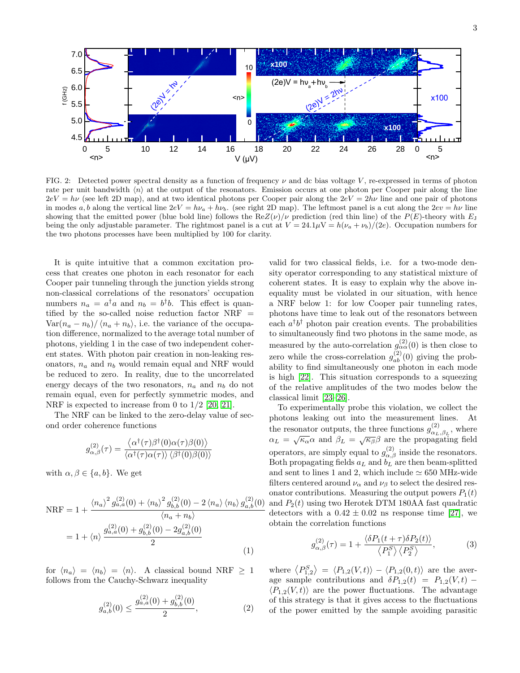

<span id="page-2-0"></span>FIG. 2: Detected power spectral density as a function of frequency  $\nu$  and dc bias voltage V, re-expressed in terms of photon rate per unit bandwidth  $\langle n \rangle$  at the output of the resonators. Emission occurs at one photon per Cooper pair along the line  $2eV = h\nu$  (see left 2D map), and at two identical photons per Cooper pair along the  $2eV = 2h\nu$  line and one pair of photons in modes a, b along the vertical line  $2eV = h\nu_a + h\nu_b$ . (see right 2D map). The leftmost panel is a cut along the  $2ev = h\nu$  line showing that the emitted power (blue bold line) follows the  $ReZ(\nu)/\nu$  prediction (red thin line) of the  $P(E)$ -theory with  $E_J$ being the only adjustable parameter. The rightmost panel is a cut at  $V = 24.1 \mu V = h(\nu_a + \nu_b)/(2e)$ . Occupation numbers for the two photons processes have been multiplied by 100 for clarity.

It is quite intuitive that a common excitation process that creates one photon in each resonator for each Cooper pair tunneling through the junction yields strong non-classical correlations of the resonators' occupation numbers  $n_a = a^{\dagger} a$  and  $n_b = b^{\dagger} b$ . This effect is quantified by the so-called noise reduction factor  $NRF =$  $\text{Var}(n_a - n_b) / \langle n_a + n_b \rangle$ , i.e. the variance of the occupation difference, normalized to the average total number of photons, yielding 1 in the case of two independent coherent states. With photon pair creation in non-leaking resonators,  $n_a$  and  $n_b$  would remain equal and NRF would be reduced to zero. In reality, due to the uncorrelated energy decays of the two resonators,  $n_a$  and  $n_b$  do not remain equal, even for perfectly symmetric modes, and NRF is expected to increase from 0 to  $1/2$  [\[20,](#page-4-13) [21\]](#page-4-14).

The NRF can be linked to the zero-delay value of second order coherence functions

$$
g_{\alpha,\beta}^{(2)}(\tau) = \frac{\langle \alpha^{\dagger}(\tau) \beta^{\dagger}(0) \alpha(\tau) \beta(0) \rangle}{\langle \alpha^{\dagger}(\tau) \alpha(\tau) \rangle \langle \beta^{\dagger}(0) \beta(0) \rangle}
$$

with  $\alpha, \beta \in \{a, b\}$ . We get

<span id="page-2-1"></span>
$$
NRF = 1 + \frac{\langle n_a \rangle^2 g_{a,a}^{(2)}(0) + \langle n_b \rangle^2 g_{b,b}^{(2)}(0) - 2 \langle n_a \rangle \langle n_b \rangle g_{a,b}^{(2)}(0)}{\langle n_a + n_b \rangle}
$$
  
= 1 + \langle n \rangle \frac{g\_{a,a}^{(2)}(0) + g\_{b,b}^{(2)}(0) - 2g\_{a,b}^{(2)}(0)}{2} (1)

for  $\langle n_a \rangle = \langle n_b \rangle = \langle n \rangle$ . A classical bound NRF  $\geq 1$ follows from the Cauchy-Schwarz inequality

<span id="page-2-2"></span>
$$
g_{a,b}^{(2)}(0) \le \frac{g_{a,a}^{(2)}(0) + g_{b,b}^{(2)}(0)}{2},\tag{2}
$$

valid for two classical fields, i.e. for a two-mode density operator corresponding to any statistical mixture of coherent states. It is easy to explain why the above inequality must be violated in our situation, with hence a NRF below 1: for low Cooper pair tunneling rates, photons have time to leak out of the resonators between each  $a^{\dagger}b^{\dagger}$  photon pair creation events. The probabilities to simultaneously find two photons in the same mode, as measured by the auto-correlation  $g_{\alpha\alpha}^{(2)}(0)$  is then close to zero while the cross-correlation  $g_{ab}^{(2)}(0)$  giving the probability to find simultaneously one photon in each mode is high [\[22\]](#page-4-15). This situation corresponds to a squeezing of the relative amplitudes of the two modes below the classical limit [\[23–](#page-4-16)[26\]](#page-4-17).

To experimentally probe this violation, we collect the photons leaking out into the measurement lines. At the resonator outputs, the three functions  $g_{\alpha}^{(2)}$  $\alpha_{L,\beta_{L}}^{(2)}$ , where  $\alpha_L = \sqrt{\kappa_\alpha} \alpha$  and  $\beta_L = \sqrt{\kappa_\beta} \beta$  are the propagating field operators, are simply equal to  $g_{\alpha,\beta}^{(2)}$  inside the resonators. Both propagating fields  $a_L$  and  $b_L$  are then beam-splitted and sent to lines 1 and 2, which include  $\simeq 650$  MHz-wide filters centered around  $\nu_{\alpha}$  and  $\nu_{\beta}$  to select the desired resonator contributions. Measuring the output powers  $P_1(t)$ and  $P_2(t)$  using two Herotek DTM 180AA fast quadratic detectors with a  $0.42 \pm 0.02$  ns response time [\[27\]](#page-4-18), we obtain the correlation functions

<span id="page-2-3"></span>
$$
g_{\alpha,\beta}^{(2)}(\tau) = 1 + \frac{\langle \delta P_1(t+\tau)\delta P_2(t) \rangle}{\langle P_1^S \rangle \langle P_2^S \rangle},\tag{3}
$$

where  $\langle P_{1,2}^S \rangle = \langle P_{1,2}(V,t) \rangle - \langle P_{1,2}(0,t) \rangle$  are the average sample contributions and  $\delta P_{1,2}(t) = P_{1,2}(V,t)$  –  $\langle P_{1,2}(V, t) \rangle$  are the power fluctuations. The advantage of this strategy is that it gives access to the fluctuations of the power emitted by the sample avoiding parasitic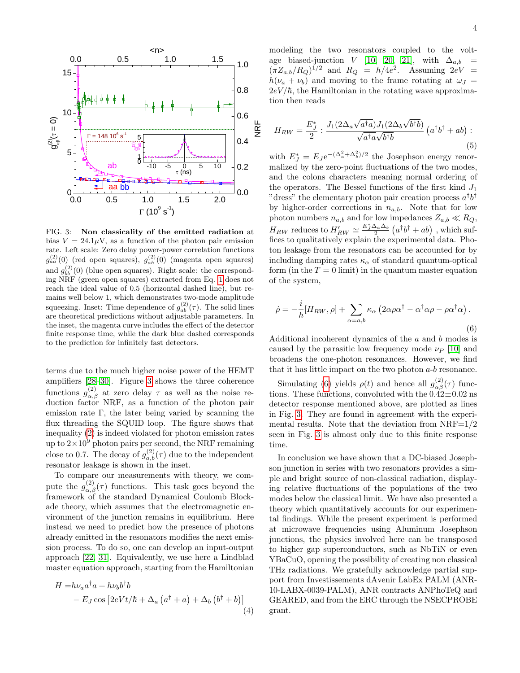

<span id="page-3-0"></span>FIG. 3: Non classicality of the emitted radiation at bias  $V = 24.1 \mu V$ , as a function of the photon pair emission rate. Left scale: Zero delay power-power correlation functions  $g_{aa}^{(2)}(0)$  (red open squares),  $g_{ab}^{(2)}(0)$  (magenta open squares) and  $g_{bb}^{(2)}(0)$  (blue open squares). Right scale: the corresponding NRF (green open squares) extracted from Eq. [1](#page-2-1) does not reach the ideal value of 0.5 (horizontal dashed line), but remains well below 1, which demonstrates two-mode amplitude squeezing. Inset: Time dependence of  $g_{ab}^{(2)}(\tau)$ . The solid lines are theoretical predictions without adjustable parameters. In the inset, the magenta curve includes the effect of the detector finite response time, while the dark blue dashed corresponds to the prediction for infinitely fast detectors.

terms due to the much higher noise power of the HEMT amplifiers [\[28](#page-4-19)[–30\]](#page-4-20). Figure [3](#page-3-0) shows the three coherence functions  $g_{\alpha,\beta}^{(2)}$  at zero delay  $\tau$  as well as the noise reduction factor NRF, as a function of the photon pair emission rate Γ, the later being varied by scanning the flux threading the SQUID loop. The figure shows that inequality [\(2\)](#page-2-2) is indeed violated for photon emission rates up to  $2\times10^9$  photon pairs per second, the NRF remaining close to 0.7. The decay of  $g_{a,b}^{(2)}(\tau)$  due to the independent resonator leakage is shown in the inset.

To compare our measurements with theory, we compute the  $g_{\alpha,\beta}^{(2)}(\tau)$  functions. This task goes beyond the framework of the standard Dynamical Coulomb Blockade theory, which assumes that the electromagnetic environment of the junction remains in equilibrium. Here instead we need to predict how the presence of photons already emitted in the resonators modifies the next emission process. To do so, one can develop an input-output approach [\[22,](#page-4-15) [31\]](#page-4-21). Equivalently, we use here a Lindblad master equation approach, starting from the Hamiltonian

$$
H = h\nu_a a^{\dagger} a + h\nu_b b^{\dagger} b - E_J \cos \left[2eVt/\hbar + \Delta_a \left(a^{\dagger} + a\right) + \Delta_b \left(b^{\dagger} + b\right)\right]
$$
\n(4)

$$
H_{RW} = \frac{E_J^*}{2} : \frac{J_1(2\Delta_a\sqrt{a^\dagger a})J_1(2\Delta_b\sqrt{b^\dagger b})}{\sqrt{a^\dagger a}\sqrt{b^\dagger b}} \left(a^\dagger b^\dagger + ab\right):
$$
\n(5)

with  $E_J^* = E_J e^{-(\Delta_a^2 + \Delta_b^2)/2}$  the Josephson energy renormalized by the zero-point fluctuations of the two modes, and the colons characters meaning normal ordering of the operators. The Bessel functions of the first kind  $J_1$ "dress" the elementary photon pair creation process  $a^{\dagger}b^{\dagger}$ by higher-order corrections in  $n_{a,b}$ . Note that for low photon numbers  $n_{a,b}$  and for low impedances  $Z_{a,b} \ll R_Q$ ,  $H_{RW}$  reduces to  $H_{RW}^{\prime}\simeq\frac{E_J^*\Delta_a\Delta_b}{2}\left(a^{\dagger}b^{\dagger}+ab\right)$  , which suffices to qualitatively explain the experimental data. Photon leakage from the resonators can be accounted for by including damping rates  $\kappa_{\alpha}$  of standard quantum-optical form (in the  $T = 0$  limit) in the quantum master equation of the system,

<span id="page-3-1"></span>
$$
\dot{\rho} = -\frac{i}{\hbar} [H_{RW}, \rho] + \sum_{\alpha = a,b} \kappa_{\alpha} \left( 2\alpha \rho \alpha^{\dagger} - \alpha^{\dagger} \alpha \rho - \rho \alpha^{\dagger} \alpha \right).
$$
\n(6)

Additional incoherent dynamics of the a and b modes is caused by the parasitic low frequency mode  $\nu_P$  [\[10\]](#page-4-22) and broadens the one-photon resonances. However, we find that it has little impact on the two photon a-b resonance.

Simulating [\(6\)](#page-3-1) yields  $\rho(t)$  and hence all  $g_{\alpha\beta}^{(2)}(\tau)$  functions. These functions, convoluted with the  $0.42 \pm 0.02$  ns detector response mentioned above, are plotted as lines in Fig. [3.](#page-3-0) They are found in agreement with the experimental results. Note that the deviation from  $NRF=1/2$ seen in Fig. [3](#page-3-0) is almost only due to this finite response time.

In conclusion we have shown that a DC-biased Josephson junction in series with two resonators provides a simple and bright source of non-classical radiation, displaying relative fluctuations of the populations of the two modes below the classical limit. We have also presented a theory which quantitatively accounts for our experimental findings. While the present experiment is performed at microwave frequencies using Aluminum Josephson junctions, the physics involved here can be transposed to higher gap superconductors, such as NbTiN or even YBaCuO, opening the possibility of creating non classical THz radiations. We gratefully acknowledge partial support from Investissements dAvenir LabEx PALM (ANR-10-LABX-0039-PALM), ANR contracts ANPhoTeQ and GEARED, and from the ERC through the NSECPROBE grant.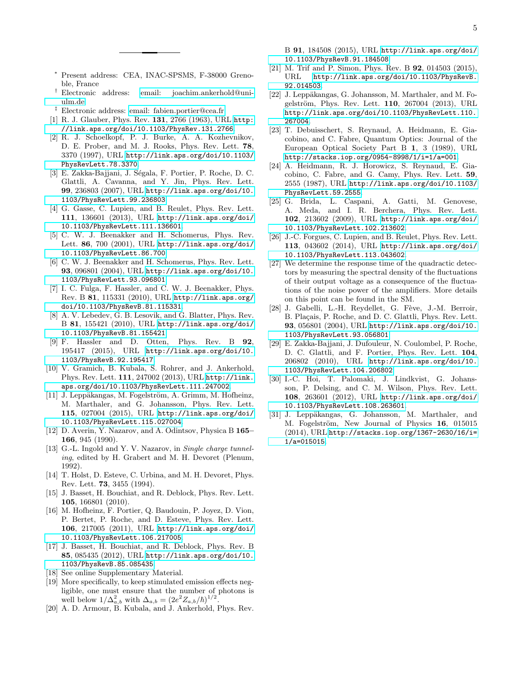- <span id="page-4-0"></span><sup>∗</sup> Present address: CEA, INAC-SPSMS, F-38000 Grenoble, France
- <span id="page-4-1"></span>† Electronic address: [email: joachim.ankerhold@uni](mailto:email: joachim.ankerhold@uni-ulm.de)[ulm.de](mailto:email: joachim.ankerhold@uni-ulm.de)
- <span id="page-4-2"></span>‡ Electronic address: [email: fabien.portier@cea.fr](mailto:email: fabien.portier@cea.fr)
- <span id="page-4-3"></span>[1] R. J. Glauber, Phys. Rev. 131, 2766 (1963), URL [http:](http://link.aps.org/doi/10.1103/PhysRev.131.2766) [//link.aps.org/doi/10.1103/PhysRev.131.2766](http://link.aps.org/doi/10.1103/PhysRev.131.2766).
- <span id="page-4-4"></span>[2] R. J. Schoelkopf, P. J. Burke, A. A. Kozhevnikov, D. E. Prober, and M. J. Rooks, Phys. Rev. Lett. 78, 3370 (1997), URL [http://link.aps.org/doi/10.1103/](http://link.aps.org/doi/10.1103/PhysRevLett.78.3370) [PhysRevLett.78.3370](http://link.aps.org/doi/10.1103/PhysRevLett.78.3370).
- [3] E. Zakka-Bajjani, J. Ségala, F. Portier, P. Roche, D. C. Glattli, A. Cavanna, and Y. Jin, Phys. Rev. Lett. 99, 236803 (2007), URL [http://link.aps.org/doi/10.](http://link.aps.org/doi/10.1103/PhysRevLett.99.236803) [1103/PhysRevLett.99.236803](http://link.aps.org/doi/10.1103/PhysRevLett.99.236803).
- <span id="page-4-5"></span>[4] G. Gasse, C. Lupien, and B. Reulet, Phys. Rev. Lett. 111, 136601 (2013), URL [http://link.aps.org/doi/](http://link.aps.org/doi/10.1103/PhysRevLett.111.136601) [10.1103/PhysRevLett.111.136601](http://link.aps.org/doi/10.1103/PhysRevLett.111.136601).
- <span id="page-4-6"></span>[5] C. W. J. Beenakker and H. Schomerus, Phys. Rev. Lett. 86, 700 (2001), URL [http://link.aps.org/doi/](http://link.aps.org/doi/10.1103/PhysRevLett.86.700) [10.1103/PhysRevLett.86.700](http://link.aps.org/doi/10.1103/PhysRevLett.86.700).
- [6] C. W. J. Beenakker and H. Schomerus, Phys. Rev. Lett. 93, 096801 (2004), URL [http://link.aps.org/doi/10.](http://link.aps.org/doi/10.1103/PhysRevLett.93.096801) [1103/PhysRevLett.93.096801](http://link.aps.org/doi/10.1103/PhysRevLett.93.096801).
- [7] I. C. Fulga, F. Hassler, and C. W. J. Beenakker, Phys. Rev. B 81, 115331 (2010), URL [http://link.aps.org/](http://link.aps.org/doi/10.1103/PhysRevB.81.115331) [doi/10.1103/PhysRevB.81.115331](http://link.aps.org/doi/10.1103/PhysRevB.81.115331).
- [8] A. V. Lebedev, G. B. Lesovik, and G. Blatter, Phys. Rev. B 81, 155421 (2010), URL [http://link.aps.org/doi/](http://link.aps.org/doi/10.1103/PhysRevB.81.155421) [10.1103/PhysRevB.81.155421](http://link.aps.org/doi/10.1103/PhysRevB.81.155421).
- [9] F. Hassler and D. Otten, Phys. Rev. B 92, 195417 (2015), URL [http://link.aps.org/doi/10.](http://link.aps.org/doi/10.1103/PhysRevB.92.195417) [1103/PhysRevB.92.195417](http://link.aps.org/doi/10.1103/PhysRevB.92.195417).
- <span id="page-4-22"></span>[10] V. Gramich, B. Kubala, S. Rohrer, and J. Ankerhold, Phys. Rev. Lett. 111, 247002 (2013), URL [http://link.](http://link.aps.org/doi/10.1103/PhysRevLett.111.247002) [aps.org/doi/10.1103/PhysRevLett.111.247002](http://link.aps.org/doi/10.1103/PhysRevLett.111.247002).
- <span id="page-4-7"></span>[11] J. Leppäkangas, M. Fogelström, A. Grimm, M. Hofheinz, M. Marthaler, and G. Johansson, Phys. Rev. Lett. 115, 027004 (2015), URL [http://link.aps.org/doi/](http://link.aps.org/doi/10.1103/PhysRevLett.115.027004) [10.1103/PhysRevLett.115.027004](http://link.aps.org/doi/10.1103/PhysRevLett.115.027004).
- <span id="page-4-8"></span>[12] D. Averin, Y. Nazarov, and A. Odintsov, Physica B 165– 166, 945 (1990).
- [13] G.-L. Ingold and Y. V. Nazarov, in *Single charge tunnel*ing, edited by H. Grabert and M. H. Devoret (Plenum, 1992).
- [14] T. Holst, D. Esteve, C. Urbina, and M. H. Devoret, Phys. Rev. Lett. 73, 3455 (1994).
- [15] J. Basset, H. Bouchiat, and R. Deblock, Phys. Rev. Lett. 105, 166801 (2010).
- <span id="page-4-10"></span>[16] M. Hofheinz, F. Portier, Q. Baudouin, P. Joyez, D. Vion, P. Bertet, P. Roche, and D. Esteve, Phys. Rev. Lett. 106, 217005 (2011), URL [http://link.aps.org/doi/](http://link.aps.org/doi/10.1103/PhysRevLett.106.217005) [10.1103/PhysRevLett.106.217005](http://link.aps.org/doi/10.1103/PhysRevLett.106.217005).
- <span id="page-4-9"></span>[17] J. Basset, H. Bouchiat, and R. Deblock, Phys. Rev. B 85, 085435 (2012), URL [http://link.aps.org/doi/10.](http://link.aps.org/doi/10.1103/PhysRevB.85.085435) [1103/PhysRevB.85.085435](http://link.aps.org/doi/10.1103/PhysRevB.85.085435).
- <span id="page-4-11"></span>[18] See online Supplementary Material.
- <span id="page-4-12"></span>[19] More specifically, to keep stimulated emission effects negligible, one must ensure that the number of photons is well below  $1/\Delta_{a,b}^2$  with  $\Delta_{a,b} = (2e^2 Z_{a,b}/\hbar)^{1/2}$ .
- <span id="page-4-13"></span>[20] A. D. Armour, B. Kubala, and J. Ankerhold, Phys. Rev.

B 91, 184508 (2015), URL [http://link.aps.org/doi/](http://link.aps.org/doi/10.1103/PhysRevB.91.184508) [10.1103/PhysRevB.91.184508](http://link.aps.org/doi/10.1103/PhysRevB.91.184508).

- <span id="page-4-14"></span>[21] M. Trif and P. Simon, Phys. Rev. B 92, 014503 (2015), URL [http://link.aps.org/doi/10.1103/PhysRevB.](http://link.aps.org/doi/10.1103/PhysRevB.92.014503) [92.014503](http://link.aps.org/doi/10.1103/PhysRevB.92.014503).
- <span id="page-4-15"></span>[22] J. Leppäkangas, G. Johansson, M. Marthaler, and M. Fogelström, Phys. Rev. Lett. 110, 267004 (2013), URL [http://link.aps.org/doi/10.1103/PhysRevLett.110.](http://link.aps.org/doi/10.1103/PhysRevLett.110.267004) [267004](http://link.aps.org/doi/10.1103/PhysRevLett.110.267004).
- <span id="page-4-16"></span>[23] T. Debuisschert, S. Reynaud, A. Heidmann, E. Giacobino, and C. Fabre, Quantum Optics: Journal of the European Optical Society Part B 1, 3 (1989), URL <http://stacks.iop.org/0954-8998/1/i=1/a=001>.
- [24] A. Heidmann, R. J. Horowicz, S. Reynaud, E. Giacobino, C. Fabre, and G. Camy, Phys. Rev. Lett. 59, 2555 (1987), URL [http://link.aps.org/doi/10.1103/](http://link.aps.org/doi/10.1103/PhysRevLett.59.2555) [PhysRevLett.59.2555](http://link.aps.org/doi/10.1103/PhysRevLett.59.2555).
- [25] G. Brida, L. Caspani, A. Gatti, M. Genovese, A. Meda, and I. R. Berchera, Phys. Rev. Lett. 102, 213602 (2009), URL [http://link.aps.org/doi/](http://link.aps.org/doi/10.1103/PhysRevLett.102.213602) [10.1103/PhysRevLett.102.213602](http://link.aps.org/doi/10.1103/PhysRevLett.102.213602).
- <span id="page-4-17"></span>[26] J.-C. Forgues, C. Lupien, and B. Reulet, Phys. Rev. Lett. 113, 043602 (2014), URL [http://link.aps.org/doi/](http://link.aps.org/doi/10.1103/PhysRevLett.113.043602) [10.1103/PhysRevLett.113.043602](http://link.aps.org/doi/10.1103/PhysRevLett.113.043602).
- <span id="page-4-18"></span>[27] We determine the response time of the quadractic detectors by measuring the spectral density of the fluctuations of their output voltage as a consequence of the fluctuations of the noise power of the amplifiers. More details on this point can be found in the SM.
- <span id="page-4-19"></span>[28] J. Gabelli, L.-H. Reydellet, G. Fève, J.-M. Berroir, B. Plaçais, P. Roche, and D. C. Glattli, Phys. Rev. Lett. 93, 056801 (2004), URL [http://link.aps.org/doi/10.](http://link.aps.org/doi/10.1103/PhysRevLett.93.056801) [1103/PhysRevLett.93.056801](http://link.aps.org/doi/10.1103/PhysRevLett.93.056801).
- [29] E. Zakka-Bajjani, J. Dufouleur, N. Coulombel, P. Roche, D. C. Glattli, and F. Portier, Phys. Rev. Lett. 104, 206802 (2010), URL [http://link.aps.org/doi/10.](http://link.aps.org/doi/10.1103/PhysRevLett.104.206802) [1103/PhysRevLett.104.206802](http://link.aps.org/doi/10.1103/PhysRevLett.104.206802).
- <span id="page-4-20"></span>[30] I.-C. Hoi, T. Palomaki, J. Lindkvist, G. Johansson, P. Delsing, and C. M. Wilson, Phys. Rev. Lett. 108, 263601 (2012), URL [http://link.aps.org/doi/](http://link.aps.org/doi/10.1103/PhysRevLett.108.263601) [10.1103/PhysRevLett.108.263601](http://link.aps.org/doi/10.1103/PhysRevLett.108.263601).
- <span id="page-4-21"></span>[31] J. Leppäkangas, G. Johansson, M. Marthaler, and M. Fogelström, New Journal of Physics 16, 015015 (2014), URL [http://stacks.iop.org/1367-2630/16/i=](http://stacks.iop.org/1367-2630/16/i=1/a=015015) [1/a=015015](http://stacks.iop.org/1367-2630/16/i=1/a=015015).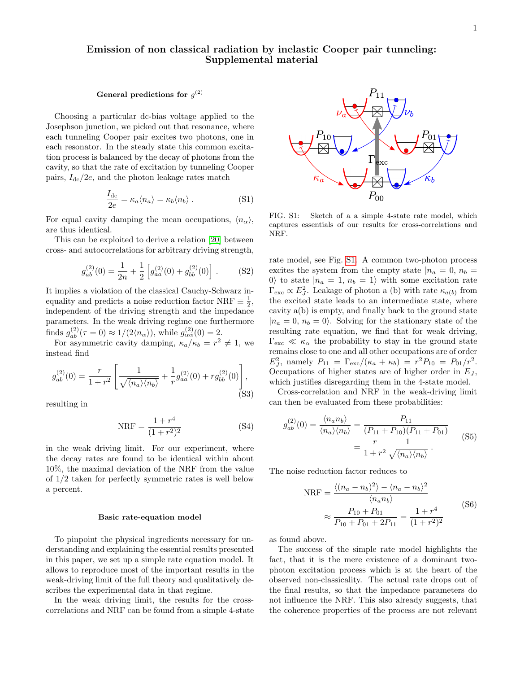# Emission of non classical radiation by inelastic Cooper pair tunneling: Supplemental material

## General predictions for  $g^{(2)}$

Choosing a particular dc-bias voltage applied to the Josephson junction, we picked out that resonance, where each tunneling Cooper pair excites two photons, one in each resonator. In the steady state this common excitation process is balanced by the decay of photons from the cavity, so that the rate of excitation by tunneling Cooper pairs,  $I_{\text{dc}}/2e$ , and the photon leakage rates match

$$
\frac{I_{\rm dc}}{2e} = \kappa_a \langle n_a \rangle = \kappa_b \langle n_b \rangle . \tag{S1}
$$

For equal cavity damping the mean occupations,  $\langle n_{\alpha} \rangle$ , are thus identical.

This can be exploited to derive a relation [\[20\]](#page-4-13) between cross- and autocorrelations for arbitrary driving strength,

$$
g_{ab}^{(2)}(0) = \frac{1}{2n} + \frac{1}{2} \left[ g_{aa}^{(2)}(0) + g_{bb}^{(2)}(0) \right].
$$
 (S2)

It implies a violation of the classical Cauchy-Schwarz inequality and predicts a noise reduction factor NRF  $\equiv \frac{1}{2}$ , independent of the driving strength and the impedance parameters. In the weak driving regime one furthermore finds  $g_{ab}^{(2)}(\tau = 0) \approx 1/(2 \langle n_{\alpha} \rangle)$ , while  $g_{\alpha\alpha}^{(2)}(0) = 2$ .

For asymmetric cavity damping,  $\kappa_a/\kappa_b = r^2 \neq 1$ , we instead find

$$
g_{ab}^{(2)}(0) = \frac{r}{1+r^2} \left[ \frac{1}{\sqrt{\langle n_a \rangle \langle n_b \rangle}} + \frac{1}{r} g_{aa}^{(2)}(0) + r g_{bb}^{(2)}(0) \right],
$$
(S3)

resulting in

$$
NRF = \frac{1+r^4}{(1+r^2)^2}
$$
 (S4)

in the weak driving limit. For our experiment, where the decay rates are found to be identical within about 10%, the maximal deviation of the NRF from the value of 1/2 taken for perfectly symmetric rates is well below a percent.

## Basic rate-equation model

To pinpoint the physical ingredients necessary for understanding and explaining the essential results presented in this paper, we set up a simple rate equation model. It allows to reproduce most of the important results in the weak-driving limit of the full theory and qualitatively describes the experimental data in that regime.

In the weak driving limit, the results for the crosscorrelations and NRF can be found from a simple 4-state



FIG. S1: Sketch of a a simple 4-state rate model, which captures essentials of our results for cross-correlations and NRF.

rate model, see Fig. [S1.](#page-1-0) A common two-photon process excites the system from the empty state  $|n_a = 0, n_b =$ 0) to state  $|n_a = 1, n_b = 1\rangle$  with some excitation rate  $\Gamma_{\text{exc}} \propto E_J^2$ . Leakage of photon a (b) with rate  $\kappa_{a(b)}$  from the excited state leads to an intermediate state, where cavity a(b) is empty, and finally back to the ground state  $|n_a = 0, n_b = 0\rangle$ . Solving for the stationary state of the resulting rate equation, we find that for weak driving,  $\Gamma_{\text{exc}} \ll \kappa_{\alpha}$  the probability to stay in the ground state remains close to one and all other occupations are of order  $E_J^2$ , namely  $P_{11} = \Gamma_{\text{exc}}/(\kappa_a + \kappa_b) = r^2 P_{10} = P_{01}/r^2$ . Occupations of higher states are of higher order in  $E_J$ , which justifies disregarding them in the 4-state model.

Cross-correlation and NRF in the weak-driving limit can then be evaluated from these probabilities:

$$
g_{ab}^{(2)}(0) = \frac{\langle n_a n_b \rangle}{\langle n_a \rangle \langle n_b \rangle} = \frac{P_{11}}{(P_{11} + P_{10})(P_{11} + P_{01})}
$$

$$
= \frac{r}{1 + r^2} \frac{1}{\sqrt{\langle n_a \rangle \langle n_b \rangle}}.
$$
(S5)

The noise reduction factor reduces to

$$
NRF = \frac{\langle (n_a - n_b)^2 \rangle - \langle n_a - n_b \rangle^2}{\langle n_a n_b \rangle} \n\approx \frac{P_{10} + P_{01}}{P_{10} + P_{01} + 2P_{11}} = \frac{1 + r^4}{(1 + r^2)^2}
$$
\n(S6)

as found above.

The success of the simple rate model highlights the fact, that it is the mere existence of a dominant twophoton excitation process which is at the heart of the observed non-classicality. The actual rate drops out of the final results, so that the impedance parameters do not influence the NRF. This also already suggests, that the coherence properties of the process are not relevant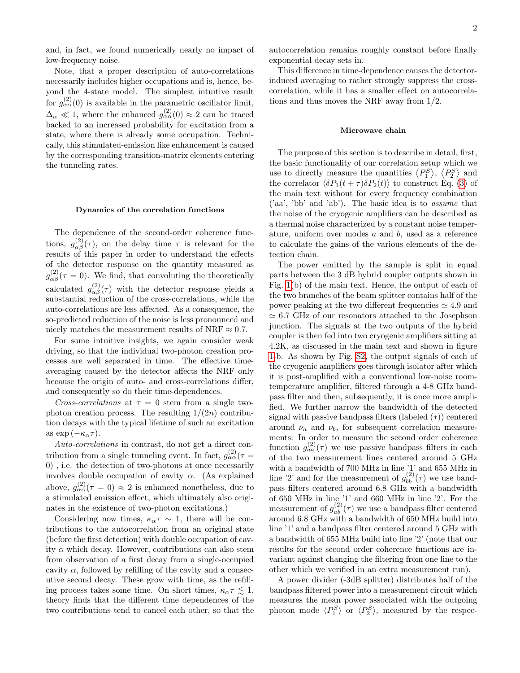and, in fact, we found numerically nearly no impact of low-frequency noise.

Note, that a proper description of auto-correlations necessarily includes higher occupations and is, hence, beyond the 4-state model. The simplest intuitive result for  $g_{\alpha\alpha}^{(2)}(0)$  is available in the parametric oscillator limit,  $\Delta_{\alpha} \ll 1$ , where the enhanced  $g_{\alpha\alpha}^{(2)}(0) \approx 2$  can be traced backed to an increased probability for excitation from a state, where there is already some occupation. Technically, this stimulated-emission like enhancement is caused by the corresponding transition-matrix elements entering the tunneling rates.

### Dynamics of the correlation functions

The dependence of the second-order coherence functions,  $g_{\alpha\beta}^{(2)}(\tau)$ , on the delay time  $\tau$  is relevant for the results of this paper in order to understand the effects of the detector response on the quantity measured as  $g_{\alpha\beta}^{(2)}(\tau=0)$ . We find, that convoluting the theoretically calculated  $g_{\alpha\beta}^{(2)}(\tau)$  with the detector response yields a substantial reduction of the cross-correlations, while the auto-correlations are less affected. As a consequence, the so-predicted reduction of the noise is less pronounced and nicely matches the measurement results of NRF  $\approx 0.7$ .

For some intuitive insights, we again consider weak driving, so that the individual two-photon creation processes are well separated in time. The effective timeaveraging caused by the detector affects the NRF only because the origin of auto- and cross-correlations differ, and consequently so do their time-dependences.

Cross-correlations at  $\tau = 0$  stem from a single twophoton creation process. The resulting  $1/(2n)$  contribution decays with the typical lifetime of such an excitation as  $\exp(-\kappa_\alpha \tau)$ .

Auto-correlations in contrast, do not get a direct contribution from a single tunneling event. In fact,  $g^{(2)}_{\alpha\alpha}(\tau =$ 0) , i.e. the detection of two-photons at once necessarily involves double occupation of cavity  $\alpha$ . (As explained above,  $g_{\alpha\alpha}^{(2)}(\tau=0) \approx 2$  is enhanced nonetheless, due to a stimulated emission effect, which ultimately also originates in the existence of two-photon excitations.)

Considering now times,  $\kappa_{\alpha} \tau \sim 1$ , there will be contributions to the autocorrelation from an original state (before the first detection) with double occupation of cavity  $\alpha$  which decay. However, contributions can also stem from observation of a first decay from a single-occupied cavity  $\alpha$ , followed by refilling of the cavity and a consecutive second decay. These grow with time, as the refilling process takes some time. On short times,  $\kappa_{\alpha} \tau \lesssim 1$ , theory finds that the different time dependences of the two contributions tend to cancel each other, so that the autocorrelation remains roughly constant before finally exponential decay sets in.

This difference in time-dependence causes the detectorinduced averaging to rather strongly suppress the crosscorrelation, while it has a smaller effect on autocorrelations and thus moves the NRF away from 1/2.

## Microwave chain

The purpose of this section is to describe in detail, first, the basic functionality of our correlation setup which we use to directly measure the quantities  $\langle P_1^S \rangle$ ,  $\langle P_2^S \rangle$  and the correlator  $\langle \delta P_1(t + \tau) \delta P_2(t) \rangle$  to construct Eq. [\(3\)](#page-2-3) of the main text without for every frequency combination ('aa', 'bb' and 'ab'). The basic idea is to assume that the noise of the cryogenic amplifiers can be described as a thermal noise characterized by a constant noise temperature, uniform over modes  $a$  and  $b$ , used as a reference to calculate the gains of the various elements of the detection chain.

The power emitted by the sample is split in equal parts between the 3 dB hybrid coupler outputs shown in Fig. [1\(](#page-1-0)b) of the main text. Hence, the output of each of the two branches of the beam splitter contains half of the power peaking at the two different frequencies  $\simeq 4.9$  and  $\simeq$  6.7 GHz of our resonators attached to the Josephson junction. The signals at the two outputs of the hybrid coupler is then fed into two cryogenic amplifiers sitting at 4.2K, as discussed in the main text and shown in figure [1-](#page-1-0)b. As shown by Fig. [S2,](#page-2-0) the output signals of each of the cryogenic amplifiers goes through isolator after which it is post-amplified with a conventional low-noise roomtemperature amplifier, filtered through a 4-8 GHz bandpass filter and then, subsequently, it is once more amplified. We further narrow the bandwidth of the detected signal with passive bandpass filters (labeled (∗)) centered around  $\nu_a$  and  $\nu_b$ , for subsequent correlation measurements: In order to measure the second order coherence function  $g_{aa}^{(2)}(\tau)$  we use passive bandpass filters in each of the two measurement lines centered around 5 GHz with a bandwidth of 700 MHz in line '1' and 655 MHz in line '2' and for the measurement of  $g_{bb}^{(2)}(\tau)$  we use bandpass filters centered around 6.8 GHz with a bandwidth of 650 MHz in line '1' and 660 MHz in line '2'. For the measurement of  $g_{ab}^{(2)}(\tau)$  we use a bandpass filter centered around 6.8 GHz with a bandwidth of 650 MHz build into line '1' and a bandpass filter centered around 5 GHz with a bandwidth of 655 MHz build into line '2' (note that our results for the second order coherence functions are invariant against changing the filtering from one line to the other which we verified in an extra measurement run).

A power divider (-3dB splitter) distributes half of the bandpass filtered power into a measurement circuit which measures the mean power associated with the outgoing photon mode  $\langle P_1^S \rangle$  or  $\langle P_2^S \rangle$ , measured by the respec-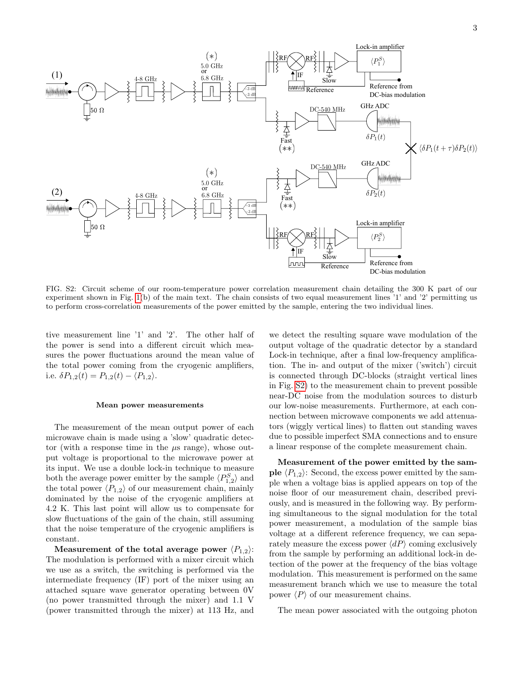

FIG. S2: Circuit scheme of our room-temperature power correlation measurement chain detailing the 300 K part of our experiment shown in Fig. [1\(](#page-1-0)b) of the main text. The chain consists of two equal measurement lines '1' and '2' permitting us to perform cross-correlation measurements of the power emitted by the sample, entering the two individual lines.

tive measurement line '1' and '2'. The other half of the power is send into a different circuit which measures the power fluctuations around the mean value of the total power coming from the cryogenic amplifiers, i.e.  $\delta P_{1,2}(t) = P_{1,2}(t) - \langle P_{1,2} \rangle$ .

#### Mean power measurements

The measurement of the mean output power of each microwave chain is made using a 'slow' quadratic detector (with a response time in the  $\mu$ s range), whose output voltage is proportional to the microwave power at its input. We use a double lock-in technique to measure both the average power emitter by the sample  $\langle P_{1,2}^S \rangle$  and the total power  $\langle P_{1,2} \rangle$  of our measurement chain, mainly dominated by the noise of the cryogenic amplifiers at 4.2 K. This last point will allow us to compensate for slow fluctuations of the gain of the chain, still assuming that the noise temperature of the cryogenic amplifiers is constant.

Measurement of the total average power  $\langle P_1, \cdot \rangle$ : The modulation is performed with a mixer circuit which we use as a switch, the switching is performed via the intermediate frequency (IF) port of the mixer using an attached square wave generator operating between 0V (no power transmitted through the mixer) and 1.1 V (power transmitted through the mixer) at 113 Hz, and

we detect the resulting square wave modulation of the output voltage of the quadratic detector by a standard Lock-in technique, after a final low-frequency amplification. The in- and output of the mixer ('switch') circuit is connected through DC-blocks (straight vertical lines in Fig. [S2\)](#page-2-0) to the measurement chain to prevent possible near-DC noise from the modulation sources to disturb our low-noise measurements. Furthermore, at each connection between microwave components we add attenuators (wiggly vertical lines) to flatten out standing waves due to possible imperfect SMA connections and to ensure a linear response of the complete measurement chain.

Measurement of the power emitted by the sample  $\langle P_{1,2}\rangle$ : Second, the excess power emitted by the sample when a voltage bias is applied appears on top of the noise floor of our measurement chain, described previously, and is measured in the following way. By performing simultaneous to the signal modulation for the total power measurement, a modulation of the sample bias voltage at a different reference frequency, we can separately measure the excess power  $\langle dP \rangle$  coming exclusively from the sample by performing an additional lock-in detection of the power at the frequency of the bias voltage modulation. This measurement is performed on the same measurement branch which we use to measure the total power  $\langle P \rangle$  of our measurement chains.

The mean power associated with the outgoing photon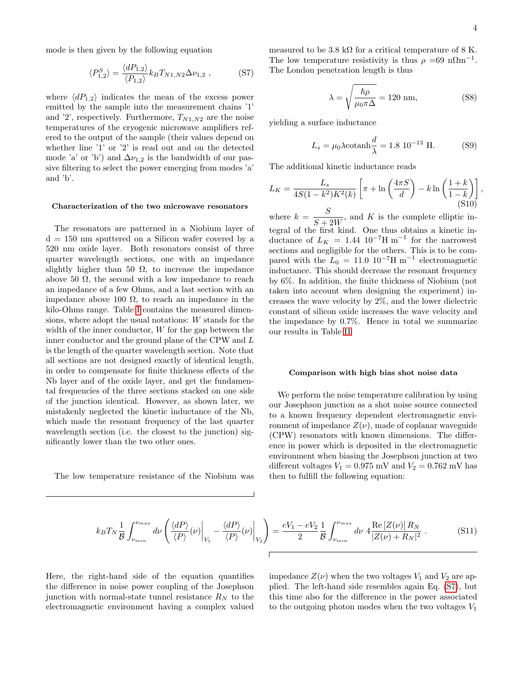mode is then given by the following equation

<span id="page-8-0"></span>
$$
\langle P_{1,2}^{S} \rangle = \frac{\langle dP_{1,2} \rangle}{\langle P_{1,2} \rangle} k_B T_{N1,N2} \Delta \nu_{1,2} , \qquad (S7)
$$

where  $\langle dP_{1,2} \rangle$  indicates the mean of the excess power emitted by the sample into the measurement chains '1' and '2', respectively. Furthermore,  $T_{N1,N2}$  are the noise temperatures of the cryogenic microwave amplifiers refered to the output of the sample (their values depend on whether line '1' or '2' is read out and on the detected mode 'a' or 'b') and  $\Delta \nu_{1,2}$  is the bandwidth of our passive filtering to select the power emerging from modes 'a' and 'b'.

## Characterization of the two microwave resonators

The resonators are patterned in a Niobium layer of  $d = 150$  nm sputtered on a Silicon wafer covered by a 520 nm oxide layer. Both resonators consist of three quarter wavelength sections, one with an impedance slightly higher than 50  $\Omega$ , to increase the impedance above 50  $\Omega$ , the second with a low impedance to reach an impedance of a few Ohms, and a last section with an impedance above 100 Ω, to reach an impedance in the kilo-Ohms range. Table [I](#page-9-0) contains the measured dimensions, where adopt the usual notations: W stands for the width of the inner conductor, W for the gap between the inner conductor and the ground plane of the CPW and L is the length of the quarter wavelength section. Note that all sections are not designed exactly of identical length, in order to compensate for finite thickness effects of the Nb layer and of the oxide layer, and get the fundamental frequencies of the three sections stacked on one side of the junction identical. However, as shown later, we mistakenly neglected the kinetic inductance of the Nb, which made the resonant frequency of the last quarter wavelength section (i.e. the closest to the junction) significantly lower than the two other ones.

The low temperature resistance of the Niobium was

measured to be 3.8 k $\Omega$  for a critical temperature of 8 K. The low temperature resistivity is thus  $\rho = 69$  n $\Omega$ m<sup>-1</sup>. The London penetration length is thus

$$
\lambda = \sqrt{\frac{\hbar \rho}{\mu_0 \pi \Delta}} = 120 \text{ nm},\tag{S8}
$$

yielding a surface inductance

$$
L_s = \mu_0 \lambda \coctanh \frac{d}{\lambda} = 1.8 \, 10^{-13} \, \text{H.} \tag{S9}
$$

The additional kinetic inductance reads

$$
L_K = \frac{L_s}{4S(1-k^2)K^2(k)} \left[ \pi + \ln\left(\frac{4\pi S}{d}\right) - k\ln\left(\frac{1+k}{1-k}\right) \right],\tag{S10}
$$

where  $k = \frac{S}{S}$  $\frac{S}{S+2W}$ , and K is the complete elliptic integral of the first kind. One thus obtains a kinetic inductance of  $L_K = 1.44 \, 10^{-7} \text{H m}^{-1}$  for the narrowest sections and negligible for the others. This is to be compared with the  $L_0 = 11.0 \, 10^{-7} \text{H m}^{-1}$  electromagnetic inductance. This should decrease the resonant frequency by 6%. In addition, the finite thickness of Niobium (not taken into account when designing the experiment) increases the wave velocity by 2%, and the lower dielectric constant of silicon oxide increases the wave velocity and the impedance by 0.7%. Hence in total we summarize our results in Table [II.](#page-9-1)

## Comparison with high bias shot noise data

We perform the noise temperature calibration by using our Josephson junction as a shot noise source connected to a known frequency dependent electromagnetic environment of impedance  $Z(\nu)$ , made of coplanar waveguide (CPW) resonators with known dimensions. The difference in power which is deposited in the electromagnetic environment when biasing the Josephson junction at two different voltages  $V_1 = 0.975$  mV and  $V_2 = 0.762$  mV has then to fulfill the following equation:

<span id="page-8-1"></span>
$$
k_B T_N \frac{1}{\mathcal{B}} \int_{\nu_{min}}^{\nu_{max}} d\nu \left( \frac{\langle dP \rangle}{\langle P \rangle} (\nu) \Big|_{V_1} - \frac{\langle dP \rangle}{\langle P \rangle} (\nu) \Big|_{V_2} \right) = \frac{eV_1 - eV_2}{2} \frac{1}{\mathcal{B}} \int_{\nu_{min}}^{\nu_{max}} d\nu \ 4 \frac{\text{Re} \left[ Z(\nu) \right] R_N}{\left| Z(\nu) + R_N \right|^2} \ . \tag{S11}
$$

Here, the right-hand side of the equation quantifies the difference in noise power coupling of the Josephson junction with normal-state tunnel resistance  $R_N$  to the electromagnetic environment having a complex valued

impedance  $Z(\nu)$  when the two voltages  $V_1$  and  $V_2$  are applied. The left-hand side resembles again Eq. [\(S7\)](#page-8-0), but this time also for the difference in the power associated to the outgoing photon modes when the two voltages  $V_1$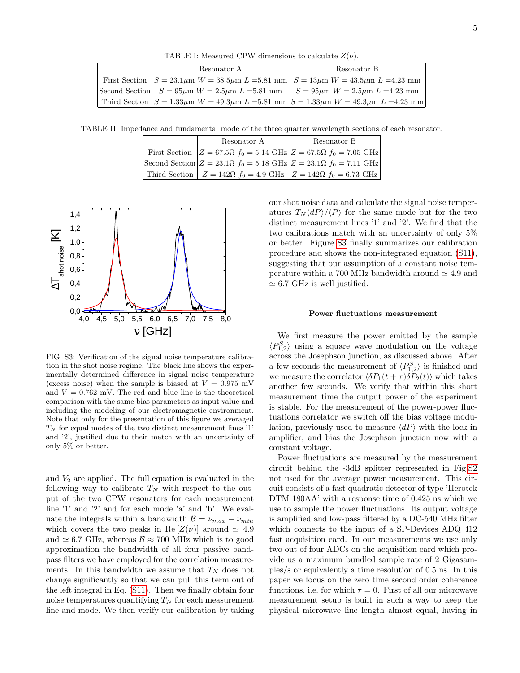<span id="page-9-0"></span>TABLE I: Measured CPW dimensions to calculate  $Z(\nu)$ .

|  | Resonator A                                                                                           | Resonator B                                                                                                 |
|--|-------------------------------------------------------------------------------------------------------|-------------------------------------------------------------------------------------------------------------|
|  | First Section $ S = 23.1 \mu m W = 38.5 \mu m L = 5.81$ mm $ S = 13 \mu m W = 43.5 \mu m L = 4.23$ mm |                                                                                                             |
|  |                                                                                                       | Second Section $S = 95 \mu m$ $W = 2.5 \mu m$ $L = 5.81$ mm $S = 95 \mu m$ $W = 2.5 \mu m$ $L = 4.23$ mm    |
|  |                                                                                                       | Third Section $ S = 1.33 \mu m$ W = 49.3 $\mu$ m L = 5.81 mm $ S = 1.33 \mu m$ W = 49.3 $\mu$ m L = 4.23 mm |

TABLE II: Impedance and fundamental mode of the three quarter wavelength sections of each resonator.

<span id="page-9-1"></span>

| Resonator A | Resonator B                                                                                       |
|-------------|---------------------------------------------------------------------------------------------------|
|             | First Section $Z = 67.5\Omega$ $f_0 = 5.14 \text{ GHz } Z = 67.5\Omega$ $f_0 = 7.05 \text{ GHz }$ |
|             | Second Section $Z = 23.1\Omega$ $f_0 = 5.18$ GHz $Z = 23.1\Omega$ $f_0 = 7.11$ GHz                |
|             | Third Section $Z = 142\Omega$ $f_0 = 4.9 \text{ GHz } Z = 142\Omega$ $f_0 = 6.73 \text{ GHz }$    |



FIG. S3: Verification of the signal noise temperature calibration in the shot noise regime. The black line shows the experimentally determined difference in signal noise temperature (excess noise) when the sample is biased at  $V = 0.975$  mV and  $V = 0.762$  mV. The red and blue line is the theoretical comparison with the same bias parameters as input value and including the modeling of our electromagnetic environment. Note that only for the presentation of this figure we averaged  $T_N$  for equal modes of the two distinct measurement lines '1' and '2', justified due to their match with an uncertainty of only 5% or better.

and  $V_2$  are applied. The full equation is evaluated in the following way to calibrate  $T_N$  with respect to the output of the two CPW resonators for each measurement line '1' and '2' and for each mode 'a' and 'b'. We evaluate the integrals within a bandwidth  $\mathcal{B} = \nu_{max} - \nu_{min}$ which covers the two peaks in Re  $[Z(\nu)]$  around  $\simeq 4.9$ and  $\simeq 6.7$  GHz, whereas  $\mathcal{B} \approx 700$  MHz which is to good approximation the bandwidth of all four passive bandpass filters we have employed for the correlation measurements. In this bandwidth we assume that  $T_N$  does not change significantly so that we can pull this term out of the left integral in Eq. [\(S11\)](#page-8-1). Then we finally obtain four noise temperatures quantifying  $T_N$  for each measurement line and mode. We then verify our calibration by taking

our shot noise data and calculate the signal noise temperatures  $T_N\langle dP\rangle/\langle P\rangle$  for the same mode but for the two distinct measurement lines '1' and '2'. We find that the two calibrations match with an uncertainty of only 5% or better. Figure [S3](#page-3-0) finally summarizes our calibration procedure and shows the non-integrated equation [\(S11\)](#page-8-1), suggesting that our assumption of a constant noise temperature within a 700 MHz bandwidth around  $\simeq 4.9$  and  $\simeq 6.7$  GHz is well justified.

## Power fluctuations measurement

We first measure the power emitted by the sample  $\langle P_{1,2}^S \rangle$  using a square wave modulation on the voltage across the Josephson junction, as discussed above. After a few seconds the measurement of  $\langle P_{1,2}^S \rangle$  is finished and we measure the correlator  $\langle \delta P_1(t + \tau) \delta P_2(t) \rangle$  which takes another few seconds. We verify that within this short measurement time the output power of the experiment is stable. For the measurement of the power-power fluctuations correlator we switch off the bias voltage modulation, previously used to measure  $\langle dP \rangle$  with the lock-in amplifier, and bias the Josephson junction now with a constant voltage.

Power fluctuations are measured by the measurement circuit behind the -3dB splitter represented in Fig[.S2](#page-2-0) not used for the average power measurement. This circuit consists of a fast quadratic detector of type 'Herotek DTM 180AA' with a response time of 0.425 ns which we use to sample the power fluctuations. Its output voltage is amplified and low-pass filtered by a DC-540 MHz filter which connects to the input of a SP-Devices ADQ 412 fast acquisition card. In our measurements we use only two out of four ADCs on the acquisition card which provide us a maximum bundled sample rate of 2 Gigasamples/s or equivalently a time resolution of 0.5 ns. In this paper we focus on the zero time second order coherence functions, i.e. for which  $\tau = 0$ . First of all our microwave measurement setup is built in such a way to keep the physical microwave line length almost equal, having in